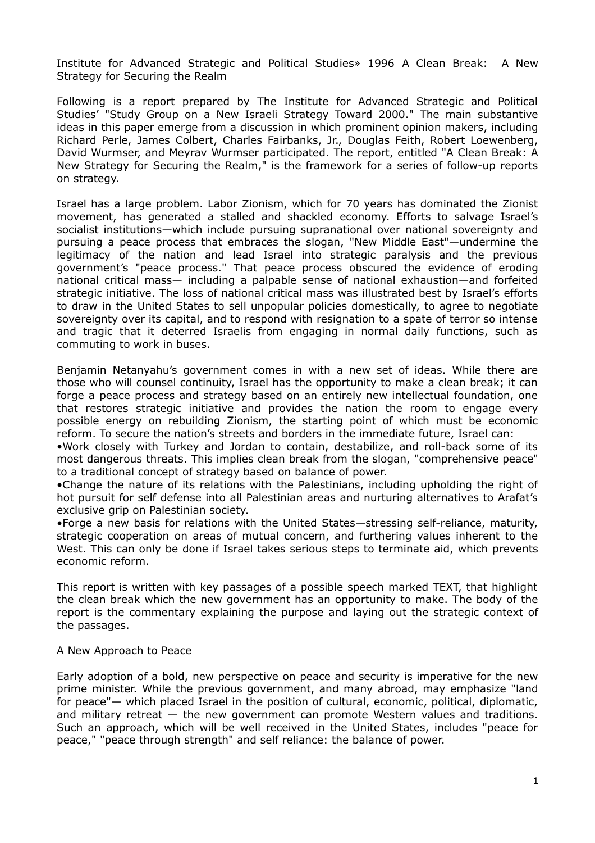Institute for Advanced Strategic and Political Studies» 1996 A Clean Break: A New Strategy for Securing the Realm

Following is a report prepared by The Institute for Advanced Strategic and Political Studies' "Study Group on a New Israeli Strategy Toward 2000." The main substantive ideas in this paper emerge from a discussion in which prominent opinion makers, including Richard Perle, James Colbert, Charles Fairbanks, Jr., Douglas Feith, Robert Loewenberg, David Wurmser, and Meyrav Wurmser participated. The report, entitled "A Clean Break: A New Strategy for Securing the Realm," is the framework for a series of follow-up reports on strategy.

Israel has a large problem. Labor Zionism, which for 70 years has dominated the Zionist movement, has generated a stalled and shackled economy. Efforts to salvage Israel's socialist institutions—which include pursuing supranational over national sovereignty and pursuing a peace process that embraces the slogan, "New Middle East"—undermine the legitimacy of the nation and lead Israel into strategic paralysis and the previous government's "peace process." That peace process obscured the evidence of eroding national critical mass— including a palpable sense of national exhaustion—and forfeited strategic initiative. The loss of national critical mass was illustrated best by Israel's efforts to draw in the United States to sell unpopular policies domestically, to agree to negotiate sovereignty over its capital, and to respond with resignation to a spate of terror so intense and tragic that it deterred Israelis from engaging in normal daily functions, such as commuting to work in buses.

Benjamin Netanyahu's government comes in with a new set of ideas. While there are those who will counsel continuity, Israel has the opportunity to make a clean break; it can forge a peace process and strategy based on an entirely new intellectual foundation, one that restores strategic initiative and provides the nation the room to engage every possible energy on rebuilding Zionism, the starting point of which must be economic reform. To secure the nation's streets and borders in the immediate future, Israel can:

•Work closely with Turkey and Jordan to contain, destabilize, and roll-back some of its most dangerous threats. This implies clean break from the slogan, "comprehensive peace" to a traditional concept of strategy based on balance of power.

•Change the nature of its relations with the Palestinians, including upholding the right of hot pursuit for self defense into all Palestinian areas and nurturing alternatives to Arafat's exclusive grip on Palestinian society.

•Forge a new basis for relations with the United States—stressing self-reliance, maturity, strategic cooperation on areas of mutual concern, and furthering values inherent to the West. This can only be done if Israel takes serious steps to terminate aid, which prevents economic reform.

This report is written with key passages of a possible speech marked TEXT, that highlight the clean break which the new government has an opportunity to make. The body of the report is the commentary explaining the purpose and laying out the strategic context of the passages.

### A New Approach to Peace

Early adoption of a bold, new perspective on peace and security is imperative for the new prime minister. While the previous government, and many abroad, may emphasize "land for peace"— which placed Israel in the position of cultural, economic, political, diplomatic, and military retreat — the new government can promote Western values and traditions. Such an approach, which will be well received in the United States, includes "peace for peace," "peace through strength" and self reliance: the balance of power.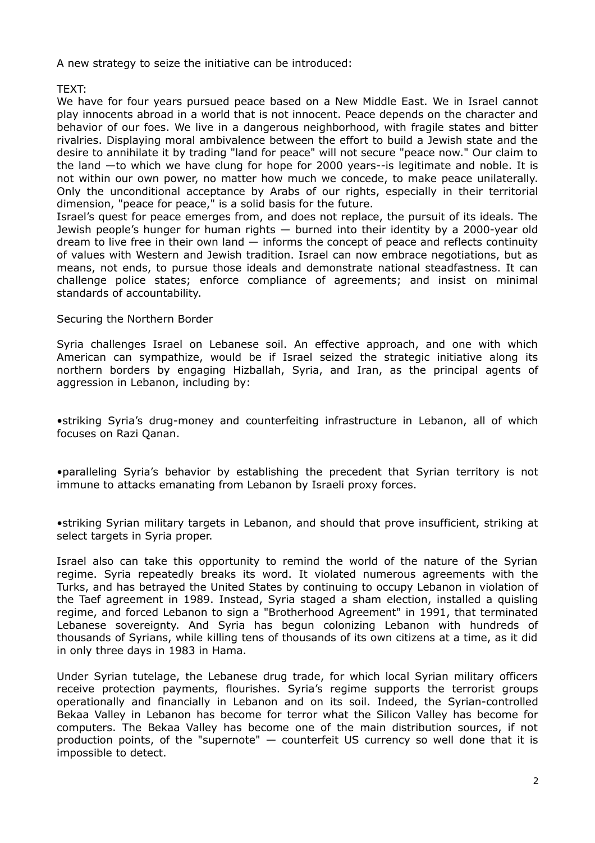A new strategy to seize the initiative can be introduced:

## TEXT:

We have for four years pursued peace based on a New Middle East. We in Israel cannot play innocents abroad in a world that is not innocent. Peace depends on the character and behavior of our foes. We live in a dangerous neighborhood, with fragile states and bitter rivalries. Displaying moral ambivalence between the effort to build a Jewish state and the desire to annihilate it by trading "land for peace" will not secure "peace now." Our claim to the land —to which we have clung for hope for 2000 years--is legitimate and noble. It is not within our own power, no matter how much we concede, to make peace unilaterally. Only the unconditional acceptance by Arabs of our rights, especially in their territorial dimension, "peace for peace," is a solid basis for the future.

Israel's quest for peace emerges from, and does not replace, the pursuit of its ideals. The Jewish people's hunger for human rights — burned into their identity by a 2000-year old dream to live free in their own land — informs the concept of peace and reflects continuity of values with Western and Jewish tradition. Israel can now embrace negotiations, but as means, not ends, to pursue those ideals and demonstrate national steadfastness. It can challenge police states; enforce compliance of agreements; and insist on minimal standards of accountability.

## Securing the Northern Border

Syria challenges Israel on Lebanese soil. An effective approach, and one with which American can sympathize, would be if Israel seized the strategic initiative along its northern borders by engaging Hizballah, Syria, and Iran, as the principal agents of aggression in Lebanon, including by:

•striking Syria's drug-money and counterfeiting infrastructure in Lebanon, all of which focuses on Razi Qanan.

•paralleling Syria's behavior by establishing the precedent that Syrian territory is not immune to attacks emanating from Lebanon by Israeli proxy forces.

•striking Syrian military targets in Lebanon, and should that prove insufficient, striking at select targets in Syria proper.

Israel also can take this opportunity to remind the world of the nature of the Syrian regime. Syria repeatedly breaks its word. It violated numerous agreements with the Turks, and has betrayed the United States by continuing to occupy Lebanon in violation of the Taef agreement in 1989. Instead, Syria staged a sham election, installed a quisling regime, and forced Lebanon to sign a "Brotherhood Agreement" in 1991, that terminated Lebanese sovereignty. And Syria has begun colonizing Lebanon with hundreds of thousands of Syrians, while killing tens of thousands of its own citizens at a time, as it did in only three days in 1983 in Hama.

Under Syrian tutelage, the Lebanese drug trade, for which local Syrian military officers receive protection payments, flourishes. Syria's regime supports the terrorist groups operationally and financially in Lebanon and on its soil. Indeed, the Syrian-controlled Bekaa Valley in Lebanon has become for terror what the Silicon Valley has become for computers. The Bekaa Valley has become one of the main distribution sources, if not production points, of the "supernote" — counterfeit US currency so well done that it is impossible to detect.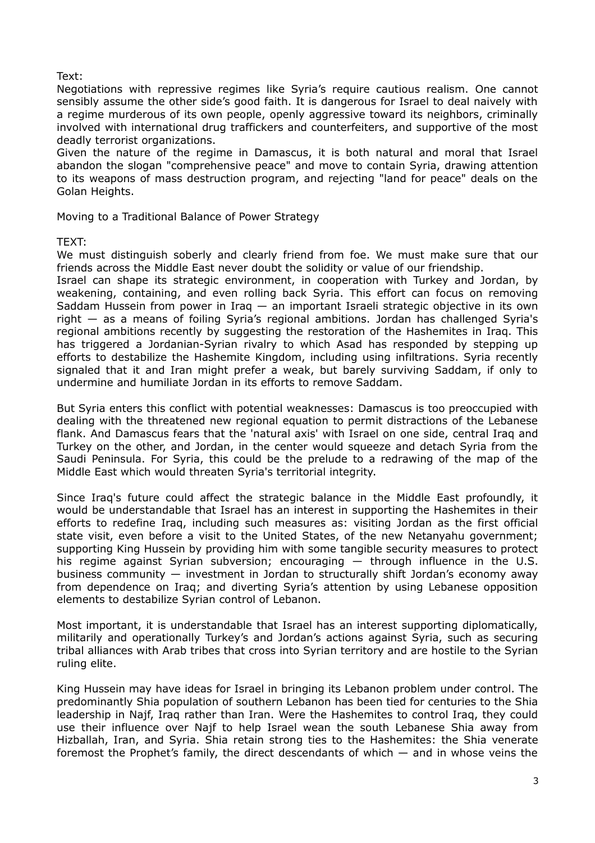Text:

Negotiations with repressive regimes like Syria's require cautious realism. One cannot sensibly assume the other side's good faith. It is dangerous for Israel to deal naively with a regime murderous of its own people, openly aggressive toward its neighbors, criminally involved with international drug traffickers and counterfeiters, and supportive of the most deadly terrorist organizations.

Given the nature of the regime in Damascus, it is both natural and moral that Israel abandon the slogan "comprehensive peace" and move to contain Syria, drawing attention to its weapons of mass destruction program, and rejecting "land for peace" deals on the Golan Heights.

Moving to a Traditional Balance of Power Strategy

# TEXT:

We must distinguish soberly and clearly friend from foe. We must make sure that our friends across the Middle East never doubt the solidity or value of our friendship.

Israel can shape its strategic environment, in cooperation with Turkey and Jordan, by weakening, containing, and even rolling back Syria. This effort can focus on removing Saddam Hussein from power in Iraq  $-$  an important Israeli strategic objective in its own right — as a means of foiling Syria's regional ambitions. Jordan has challenged Syria's regional ambitions recently by suggesting the restoration of the Hashemites in Iraq. This has triggered a Jordanian-Syrian rivalry to which Asad has responded by stepping up efforts to destabilize the Hashemite Kingdom, including using infiltrations. Syria recently signaled that it and Iran might prefer a weak, but barely surviving Saddam, if only to undermine and humiliate Jordan in its efforts to remove Saddam.

But Syria enters this conflict with potential weaknesses: Damascus is too preoccupied with dealing with the threatened new regional equation to permit distractions of the Lebanese flank. And Damascus fears that the 'natural axis' with Israel on one side, central Iraq and Turkey on the other, and Jordan, in the center would squeeze and detach Syria from the Saudi Peninsula. For Syria, this could be the prelude to a redrawing of the map of the Middle East which would threaten Syria's territorial integrity.

Since Iraq's future could affect the strategic balance in the Middle East profoundly, it would be understandable that Israel has an interest in supporting the Hashemites in their efforts to redefine Iraq, including such measures as: visiting Jordan as the first official state visit, even before a visit to the United States, of the new Netanyahu government; supporting King Hussein by providing him with some tangible security measures to protect his regime against Syrian subversion; encouraging — through influence in the U.S. business community — investment in Jordan to structurally shift Jordan's economy away from dependence on Iraq; and diverting Syria's attention by using Lebanese opposition elements to destabilize Syrian control of Lebanon.

Most important, it is understandable that Israel has an interest supporting diplomatically, militarily and operationally Turkey's and Jordan's actions against Syria, such as securing tribal alliances with Arab tribes that cross into Syrian territory and are hostile to the Syrian ruling elite.

King Hussein may have ideas for Israel in bringing its Lebanon problem under control. The predominantly Shia population of southern Lebanon has been tied for centuries to the Shia leadership in Najf, Iraq rather than Iran. Were the Hashemites to control Iraq, they could use their influence over Najf to help Israel wean the south Lebanese Shia away from Hizballah, Iran, and Syria. Shia retain strong ties to the Hashemites: the Shia venerate foremost the Prophet's family, the direct descendants of which — and in whose veins the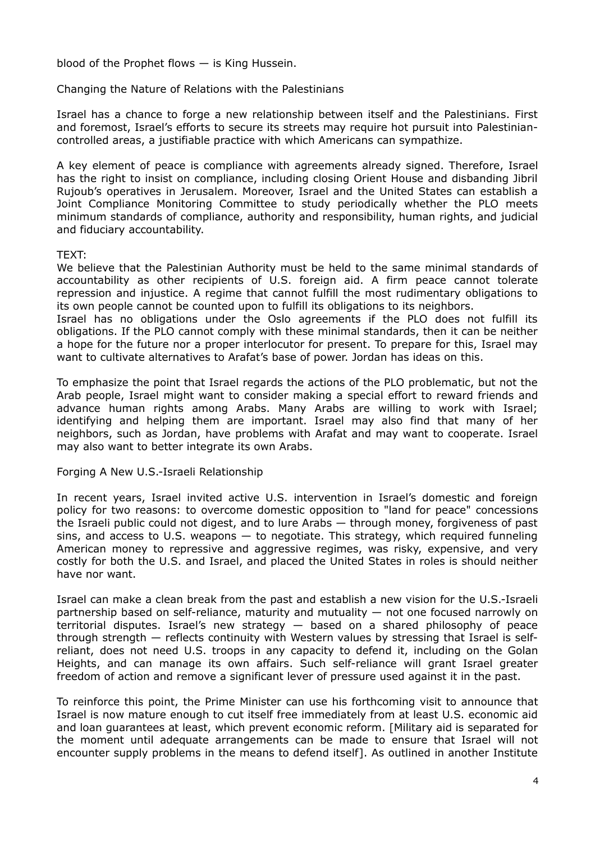blood of the Prophet flows — is King Hussein.

Changing the Nature of Relations with the Palestinians

Israel has a chance to forge a new relationship between itself and the Palestinians. First and foremost, Israel's efforts to secure its streets may require hot pursuit into Palestiniancontrolled areas, a justifiable practice with which Americans can sympathize.

A key element of peace is compliance with agreements already signed. Therefore, Israel has the right to insist on compliance, including closing Orient House and disbanding Jibril Rujoub's operatives in Jerusalem. Moreover, Israel and the United States can establish a Joint Compliance Monitoring Committee to study periodically whether the PLO meets minimum standards of compliance, authority and responsibility, human rights, and judicial and fiduciary accountability.

## TEXT:

We believe that the Palestinian Authority must be held to the same minimal standards of accountability as other recipients of U.S. foreign aid. A firm peace cannot tolerate repression and injustice. A regime that cannot fulfill the most rudimentary obligations to its own people cannot be counted upon to fulfill its obligations to its neighbors.

Israel has no obligations under the Oslo agreements if the PLO does not fulfill its obligations. If the PLO cannot comply with these minimal standards, then it can be neither a hope for the future nor a proper interlocutor for present. To prepare for this, Israel may want to cultivate alternatives to Arafat's base of power. Jordan has ideas on this.

To emphasize the point that Israel regards the actions of the PLO problematic, but not the Arab people, Israel might want to consider making a special effort to reward friends and advance human rights among Arabs. Many Arabs are willing to work with Israel; identifying and helping them are important. Israel may also find that many of her neighbors, such as Jordan, have problems with Arafat and may want to cooperate. Israel may also want to better integrate its own Arabs.

### Forging A New U.S.-Israeli Relationship

In recent years, Israel invited active U.S. intervention in Israel's domestic and foreign policy for two reasons: to overcome domestic opposition to "land for peace" concessions the Israeli public could not digest, and to lure Arabs — through money, forgiveness of past sins, and access to U.S. weapons  $-$  to negotiate. This strategy, which required funneling American money to repressive and aggressive regimes, was risky, expensive, and very costly for both the U.S. and Israel, and placed the United States in roles is should neither have nor want.

Israel can make a clean break from the past and establish a new vision for the U.S.-Israeli partnership based on self-reliance, maturity and mutuality — not one focused narrowly on territorial disputes. Israel's new strategy — based on a shared philosophy of peace through strength — reflects continuity with Western values by stressing that Israel is selfreliant, does not need U.S. troops in any capacity to defend it, including on the Golan Heights, and can manage its own affairs. Such self-reliance will grant Israel greater freedom of action and remove a significant lever of pressure used against it in the past.

To reinforce this point, the Prime Minister can use his forthcoming visit to announce that Israel is now mature enough to cut itself free immediately from at least U.S. economic aid and loan guarantees at least, which prevent economic reform. [Military aid is separated for the moment until adequate arrangements can be made to ensure that Israel will not encounter supply problems in the means to defend itself]. As outlined in another Institute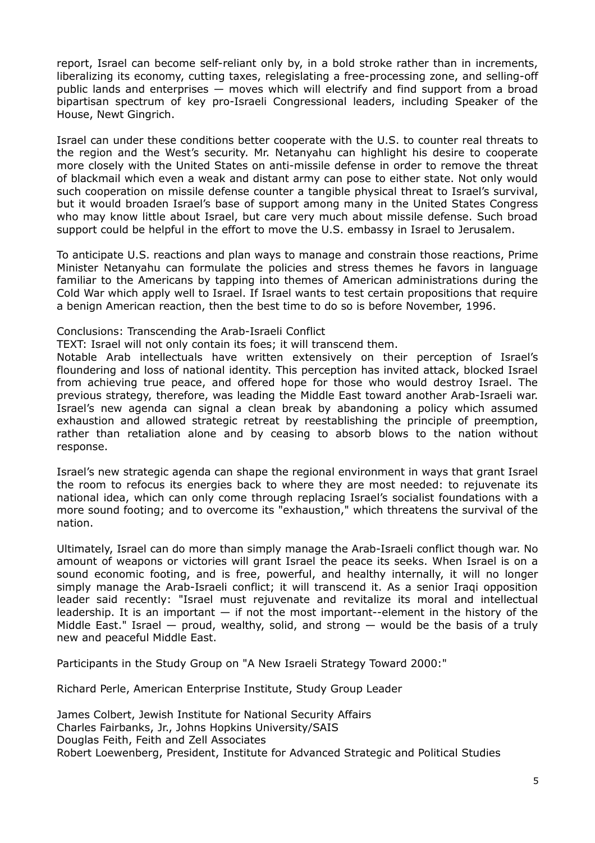report, Israel can become self-reliant only by, in a bold stroke rather than in increments, liberalizing its economy, cutting taxes, relegislating a free-processing zone, and selling-off public lands and enterprises — moves which will electrify and find support from a broad bipartisan spectrum of key pro-Israeli Congressional leaders, including Speaker of the House, Newt Gingrich.

Israel can under these conditions better cooperate with the U.S. to counter real threats to the region and the West's security. Mr. Netanyahu can highlight his desire to cooperate more closely with the United States on anti-missile defense in order to remove the threat of blackmail which even a weak and distant army can pose to either state. Not only would such cooperation on missile defense counter a tangible physical threat to Israel's survival, but it would broaden Israel's base of support among many in the United States Congress who may know little about Israel, but care very much about missile defense. Such broad support could be helpful in the effort to move the U.S. embassy in Israel to Jerusalem.

To anticipate U.S. reactions and plan ways to manage and constrain those reactions, Prime Minister Netanyahu can formulate the policies and stress themes he favors in language familiar to the Americans by tapping into themes of American administrations during the Cold War which apply well to Israel. If Israel wants to test certain propositions that require a benign American reaction, then the best time to do so is before November, 1996.

## Conclusions: Transcending the Arab-Israeli Conflict

TEXT: Israel will not only contain its foes; it will transcend them.

Notable Arab intellectuals have written extensively on their perception of Israel's floundering and loss of national identity. This perception has invited attack, blocked Israel from achieving true peace, and offered hope for those who would destroy Israel. The previous strategy, therefore, was leading the Middle East toward another Arab-Israeli war. Israel's new agenda can signal a clean break by abandoning a policy which assumed exhaustion and allowed strategic retreat by reestablishing the principle of preemption, rather than retaliation alone and by ceasing to absorb blows to the nation without response.

Israel's new strategic agenda can shape the regional environment in ways that grant Israel the room to refocus its energies back to where they are most needed: to rejuvenate its national idea, which can only come through replacing Israel's socialist foundations with a more sound footing; and to overcome its "exhaustion," which threatens the survival of the nation.

Ultimately, Israel can do more than simply manage the Arab-Israeli conflict though war. No amount of weapons or victories will grant Israel the peace its seeks. When Israel is on a sound economic footing, and is free, powerful, and healthy internally, it will no longer simply manage the Arab-Israeli conflict; it will transcend it. As a senior Iraqi opposition leader said recently: "Israel must rejuvenate and revitalize its moral and intellectual leadership. It is an important — if not the most important--element in the history of the Middle East." Israel  $-$  proud, wealthy, solid, and strong  $-$  would be the basis of a truly new and peaceful Middle East.

Participants in the Study Group on "A New Israeli Strategy Toward 2000:"

Richard Perle, American Enterprise Institute, Study Group Leader

James Colbert, Jewish Institute for National Security Affairs Charles Fairbanks, Jr., Johns Hopkins University/SAIS Douglas Feith, Feith and Zell Associates Robert Loewenberg, President, Institute for Advanced Strategic and Political Studies